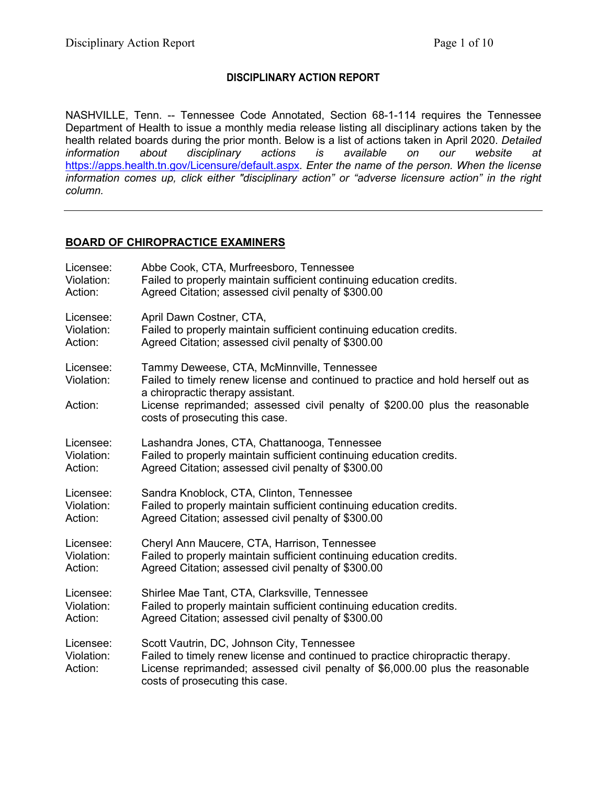# **DISCIPLINARY ACTION REPORT**

NASHVILLE, Tenn. -- Tennessee Code Annotated, Section 68-1-114 requires the Tennessee Department of Health to issue a monthly media release listing all disciplinary actions taken by the health related boards during the prior month. Below is a list of actions taken in April 2020. *Detailed*  disciplinary actions is available on our website at <https://apps.health.tn.gov/Licensure/default.aspx>*. Enter the name of the person. When the license information comes up, click either "disciplinary action" or "adverse licensure action" in the right column.*

## **BOARD OF CHIROPRACTICE EXAMINERS**

| Licensee:                          | Abbe Cook, CTA, Murfreesboro, Tennessee                                                                                                                                                                                                                                               |
|------------------------------------|---------------------------------------------------------------------------------------------------------------------------------------------------------------------------------------------------------------------------------------------------------------------------------------|
| Violation:                         | Failed to properly maintain sufficient continuing education credits.                                                                                                                                                                                                                  |
| Action:                            | Agreed Citation; assessed civil penalty of \$300.00                                                                                                                                                                                                                                   |
| Licensee:                          | April Dawn Costner, CTA,                                                                                                                                                                                                                                                              |
| Violation:                         | Failed to properly maintain sufficient continuing education credits.                                                                                                                                                                                                                  |
| Action:                            | Agreed Citation; assessed civil penalty of \$300.00                                                                                                                                                                                                                                   |
| Licensee:<br>Violation:<br>Action: | Tammy Deweese, CTA, McMinnville, Tennessee<br>Failed to timely renew license and continued to practice and hold herself out as<br>a chiropractic therapy assistant.<br>License reprimanded; assessed civil penalty of \$200.00 plus the reasonable<br>costs of prosecuting this case. |
| Licensee:                          | Lashandra Jones, CTA, Chattanooga, Tennessee                                                                                                                                                                                                                                          |
| Violation:                         | Failed to properly maintain sufficient continuing education credits.                                                                                                                                                                                                                  |
| Action:                            | Agreed Citation; assessed civil penalty of \$300.00                                                                                                                                                                                                                                   |
| Licensee:                          | Sandra Knoblock, CTA, Clinton, Tennessee                                                                                                                                                                                                                                              |
| Violation:                         | Failed to properly maintain sufficient continuing education credits.                                                                                                                                                                                                                  |
| Action:                            | Agreed Citation; assessed civil penalty of \$300.00                                                                                                                                                                                                                                   |
| Licensee:                          | Cheryl Ann Maucere, CTA, Harrison, Tennessee                                                                                                                                                                                                                                          |
| Violation:                         | Failed to properly maintain sufficient continuing education credits.                                                                                                                                                                                                                  |
| Action:                            | Agreed Citation; assessed civil penalty of \$300.00                                                                                                                                                                                                                                   |
| Licensee:                          | Shirlee Mae Tant, CTA, Clarksville, Tennessee                                                                                                                                                                                                                                         |
| Violation:                         | Failed to properly maintain sufficient continuing education credits.                                                                                                                                                                                                                  |
| Action:                            | Agreed Citation; assessed civil penalty of \$300.00                                                                                                                                                                                                                                   |
| Licensee:<br>Violation:<br>Action: | Scott Vautrin, DC, Johnson City, Tennessee<br>Failed to timely renew license and continued to practice chiropractic therapy.<br>License reprimanded; assessed civil penalty of \$6,000.00 plus the reasonable<br>costs of prosecuting this case.                                      |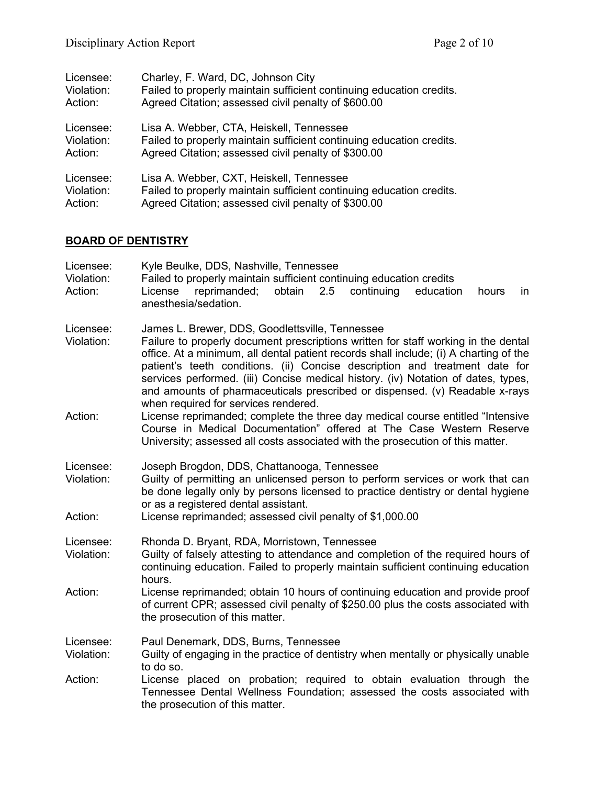| Licensee:  | Charley, F. Ward, DC, Johnson City                                   |
|------------|----------------------------------------------------------------------|
| Violation: | Failed to properly maintain sufficient continuing education credits. |
| Action:    | Agreed Citation; assessed civil penalty of \$600.00                  |
| Licensee:  | Lisa A. Webber, CTA, Heiskell, Tennessee                             |
| Violation: | Failed to properly maintain sufficient continuing education credits. |
| Action:    | Agreed Citation; assessed civil penalty of \$300.00                  |
| Licensee:  | Lisa A. Webber, CXT, Heiskell, Tennessee                             |
| Violation: | Failed to properly maintain sufficient continuing education credits. |
| Action:    | Agreed Citation; assessed civil penalty of \$300.00                  |

# **BOARD OF DENTISTRY**

| Licensee:<br>Violation:<br>Action: | Kyle Beulke, DDS, Nashville, Tennessee<br>Failed to properly maintain sufficient continuing education credits<br>obtain<br>2.5<br>reprimanded;<br>continuing<br>education<br>License<br>hours<br>in<br>anesthesia/sedation.                                                                                                                                                                                                                                                       |  |  |
|------------------------------------|-----------------------------------------------------------------------------------------------------------------------------------------------------------------------------------------------------------------------------------------------------------------------------------------------------------------------------------------------------------------------------------------------------------------------------------------------------------------------------------|--|--|
| Licensee:<br>Violation:            | James L. Brewer, DDS, Goodlettsville, Tennessee<br>Failure to properly document prescriptions written for staff working in the dental<br>office. At a minimum, all dental patient records shall include; (i) A charting of the<br>patient's teeth conditions. (ii) Concise description and treatment date for<br>services performed. (iii) Concise medical history. (iv) Notation of dates, types,<br>and amounts of pharmaceuticals prescribed or dispensed. (v) Readable x-rays |  |  |
| Action:                            | when required for services rendered.<br>License reprimanded; complete the three day medical course entitled "Intensive"<br>Course in Medical Documentation" offered at The Case Western Reserve<br>University; assessed all costs associated with the prosecution of this matter.                                                                                                                                                                                                 |  |  |
| Licensee:<br>Violation:<br>Action: | Joseph Brogdon, DDS, Chattanooga, Tennessee<br>Guilty of permitting an unlicensed person to perform services or work that can<br>be done legally only by persons licensed to practice dentistry or dental hygiene<br>or as a registered dental assistant.<br>License reprimanded; assessed civil penalty of \$1,000.00                                                                                                                                                            |  |  |
| Licensee:<br>Violation:            | Rhonda D. Bryant, RDA, Morristown, Tennessee<br>Guilty of falsely attesting to attendance and completion of the required hours of<br>continuing education. Failed to properly maintain sufficient continuing education<br>hours.                                                                                                                                                                                                                                                  |  |  |
| Action:                            | License reprimanded; obtain 10 hours of continuing education and provide proof<br>of current CPR; assessed civil penalty of \$250.00 plus the costs associated with<br>the prosecution of this matter.                                                                                                                                                                                                                                                                            |  |  |
| Licensee:<br>Violation:            | Paul Denemark, DDS, Burns, Tennessee<br>Guilty of engaging in the practice of dentistry when mentally or physically unable<br>to do so.                                                                                                                                                                                                                                                                                                                                           |  |  |
| Action:                            | License placed on probation; required to obtain evaluation through the<br>Tennessee Dental Wellness Foundation; assessed the costs associated with<br>the prosecution of this matter.                                                                                                                                                                                                                                                                                             |  |  |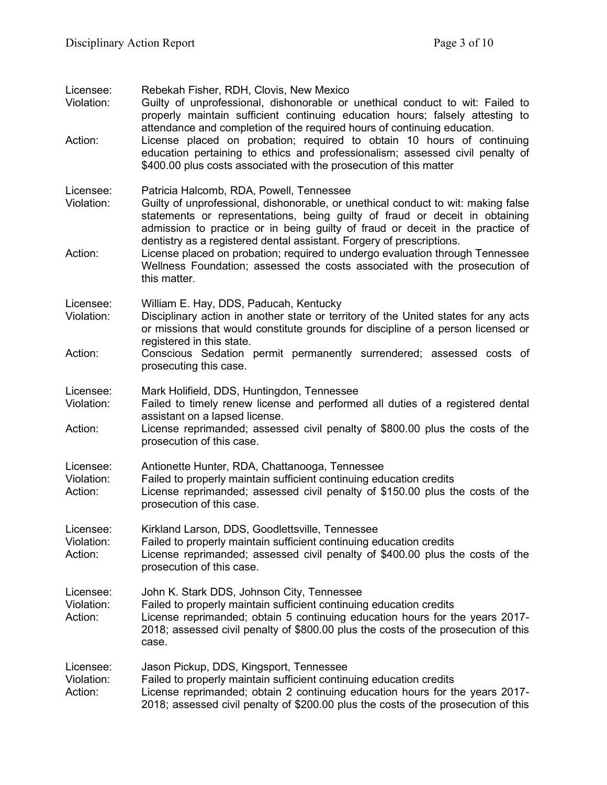| Licensee:<br>Violation:<br>Action: | Rebekah Fisher, RDH, Clovis, New Mexico<br>Guilty of unprofessional, dishonorable or unethical conduct to wit: Failed to<br>properly maintain sufficient continuing education hours; falsely attesting to<br>attendance and completion of the required hours of continuing education.<br>License placed on probation; required to obtain 10 hours of continuing         |
|------------------------------------|-------------------------------------------------------------------------------------------------------------------------------------------------------------------------------------------------------------------------------------------------------------------------------------------------------------------------------------------------------------------------|
|                                    | education pertaining to ethics and professionalism; assessed civil penalty of<br>\$400.00 plus costs associated with the prosecution of this matter                                                                                                                                                                                                                     |
| Licensee:<br>Violation:            | Patricia Halcomb, RDA, Powell, Tennessee<br>Guilty of unprofessional, dishonorable, or unethical conduct to wit: making false<br>statements or representations, being guilty of fraud or deceit in obtaining<br>admission to practice or in being guilty of fraud or deceit in the practice of<br>dentistry as a registered dental assistant. Forgery of prescriptions. |
| Action:                            | License placed on probation; required to undergo evaluation through Tennessee<br>Wellness Foundation; assessed the costs associated with the prosecution of<br>this matter.                                                                                                                                                                                             |
| Licensee:<br>Violation:            | William E. Hay, DDS, Paducah, Kentucky<br>Disciplinary action in another state or territory of the United states for any acts<br>or missions that would constitute grounds for discipline of a person licensed or<br>registered in this state.                                                                                                                          |
| Action:                            | Conscious Sedation permit permanently surrendered; assessed costs of<br>prosecuting this case.                                                                                                                                                                                                                                                                          |
| Licensee:<br>Violation:            | Mark Holifield, DDS, Huntingdon, Tennessee<br>Failed to timely renew license and performed all duties of a registered dental<br>assistant on a lapsed license.                                                                                                                                                                                                          |
| Action:                            | License reprimanded; assessed civil penalty of \$800.00 plus the costs of the<br>prosecution of this case.                                                                                                                                                                                                                                                              |
| Licensee:<br>Violation:<br>Action: | Antionette Hunter, RDA, Chattanooga, Tennessee<br>Failed to properly maintain sufficient continuing education credits<br>License reprimanded; assessed civil penalty of \$150.00 plus the costs of the<br>prosecution of this case.                                                                                                                                     |
| Licensee:<br>Violation:<br>Action: | Kirkland Larson, DDS, Goodlettsville, Tennessee<br>Failed to properly maintain sufficient continuing education credits<br>License reprimanded; assessed civil penalty of \$400.00 plus the costs of the<br>prosecution of this case.                                                                                                                                    |
| Licensee:<br>Violation:<br>Action: | John K. Stark DDS, Johnson City, Tennessee<br>Failed to properly maintain sufficient continuing education credits<br>License reprimanded; obtain 5 continuing education hours for the years 2017-<br>2018; assessed civil penalty of \$800.00 plus the costs of the prosecution of this<br>case.                                                                        |
| Licensee:<br>Violation:<br>Action: | Jason Pickup, DDS, Kingsport, Tennessee<br>Failed to properly maintain sufficient continuing education credits<br>License reprimanded; obtain 2 continuing education hours for the years 2017-<br>2018; assessed civil penalty of \$200.00 plus the costs of the prosecution of this                                                                                    |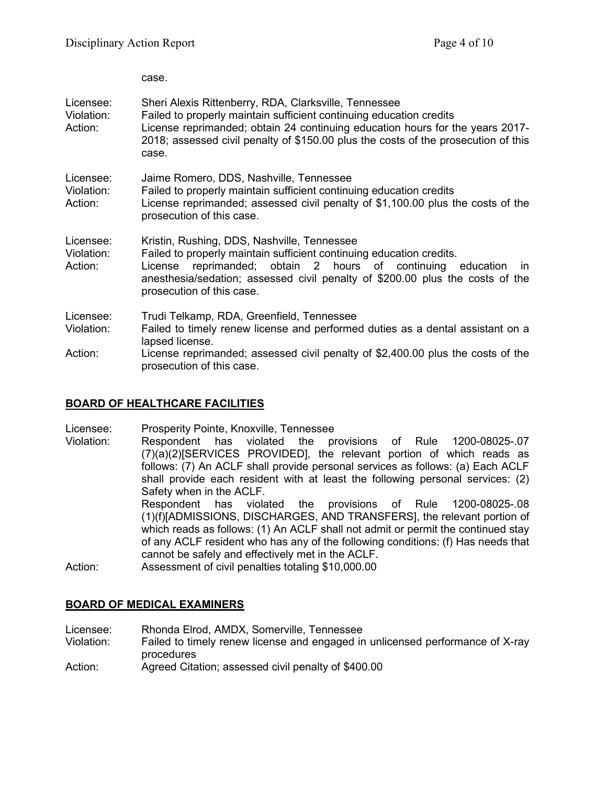case.

|                                    | uasu.                                                                                                                                                                                                                                                                                                        |
|------------------------------------|--------------------------------------------------------------------------------------------------------------------------------------------------------------------------------------------------------------------------------------------------------------------------------------------------------------|
| Licensee:<br>Violation:<br>Action: | Sheri Alexis Rittenberry, RDA, Clarksville, Tennessee<br>Failed to properly maintain sufficient continuing education credits<br>License reprimanded; obtain 24 continuing education hours for the years 2017-<br>2018; assessed civil penalty of \$150.00 plus the costs of the prosecution of this<br>case. |
| Licensee:<br>Violation:<br>Action: | Jaime Romero, DDS, Nashville, Tennessee<br>Failed to properly maintain sufficient continuing education credits<br>License reprimanded; assessed civil penalty of \$1,100.00 plus the costs of the<br>prosecution of this case.                                                                               |
| Licensee:<br>Violation:<br>Action: | Kristin, Rushing, DDS, Nashville, Tennessee<br>Failed to properly maintain sufficient continuing education credits.<br>reprimanded; obtain 2 hours of continuing education<br>License<br>in.<br>anesthesia/sedation; assessed civil penalty of \$200.00 plus the costs of the<br>prosecution of this case.   |
| Licensee:<br>Violation:<br>Action: | Trudi Telkamp, RDA, Greenfield, Tennessee<br>Failed to timely renew license and performed duties as a dental assistant on a<br>lapsed license.<br>License reprimanded; assessed civil penalty of \$2,400.00 plus the costs of the<br>prosecution of this case.                                               |

# **BOARD OF HEALTHCARE FACILITIES**

Licensee: Prosperity Pointe, Knoxville, Tennessee

Violation: Respondent has violated the provisions of Rule 1200-08025-.07 (7)(a)(2)[SERVICES PROVIDED], the relevant portion of which reads as follows: (7) An ACLF shall provide personal services as follows: (a) Each ACLF shall provide each resident with at least the following personal services: (2) Safety when in the ACLF.<br>Respondent has viola

has violated the provisions of Rule 1200-08025-.08 (1)(f)[ADMISSIONS, DISCHARGES, AND TRANSFERS], the relevant portion of which reads as follows: (1) An ACLF shall not admit or permit the continued stay of any ACLF resident who has any of the following conditions: (f) Has needs that cannot be safely and effectively met in the ACLF.

Action: Assessment of civil penalties totaling \$10,000.00

# **BOARD OF MEDICAL EXAMINERS**

Licensee: Rhonda Elrod, AMDX, Somerville, Tennessee

Violation: Failed to timely renew license and engaged in unlicensed performance of X-ray procedures

Action: Agreed Citation; assessed civil penalty of \$400.00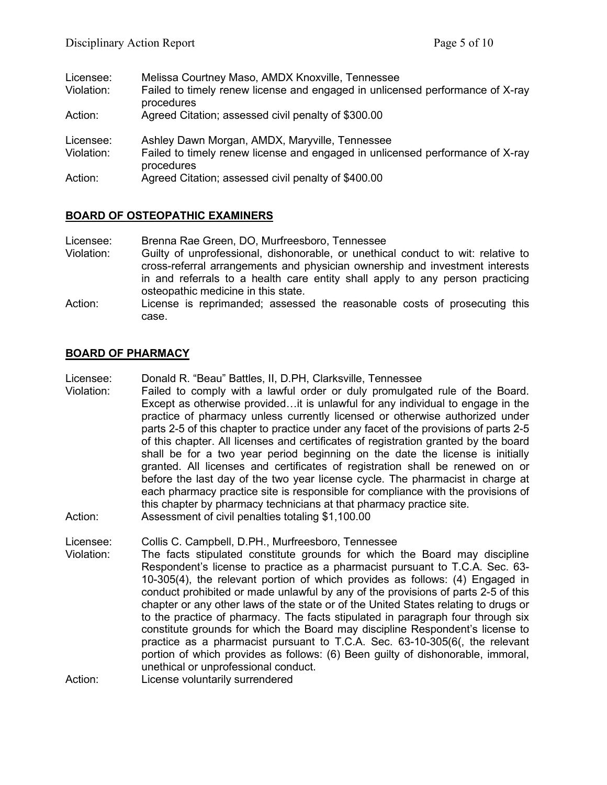| Licensee:  | Melissa Courtney Maso, AMDX Knoxville, Tennessee                                            |
|------------|---------------------------------------------------------------------------------------------|
| Violation: | Failed to timely renew license and engaged in unlicensed performance of X-ray<br>procedures |
| Action:    | Agreed Citation; assessed civil penalty of \$300.00                                         |
| Licensee:  | Ashley Dawn Morgan, AMDX, Maryville, Tennessee                                              |
| Violation: | Failed to timely renew license and engaged in unlicensed performance of X-ray<br>procedures |
| Action:    | Agreed Citation; assessed civil penalty of \$400.00                                         |

## **BOARD OF OSTEOPATHIC EXAMINERS**

- Licensee: Brenna Rae Green, DO, Murfreesboro, Tennessee Violation: Guilty of unprofessional, dishonorable, or unethical conduct to wit: relative to cross-referral arrangements and physician ownership and investment interests in and referrals to a health care entity shall apply to any person practicing osteopathic medicine in this state.
- Action: License is reprimanded; assessed the reasonable costs of prosecuting this case.

#### **BOARD OF PHARMACY**

Licensee: Donald R. "Beau" Battles, II, D.PH, Clarksville, Tennessee

- Violation: Failed to comply with a lawful order or duly promulgated rule of the Board. Except as otherwise provided…it is unlawful for any individual to engage in the practice of pharmacy unless currently licensed or otherwise authorized under parts 2-5 of this chapter to practice under any facet of the provisions of parts 2-5 of this chapter. All licenses and certificates of registration granted by the board shall be for a two year period beginning on the date the license is initially granted. All licenses and certificates of registration shall be renewed on or before the last day of the two year license cycle. The pharmacist in charge at each pharmacy practice site is responsible for compliance with the provisions of this chapter by pharmacy technicians at that pharmacy practice site.
- Action: Assessment of civil penalties totaling \$1,100.00

Licensee: Collis C. Campbell, D.PH., Murfreesboro, Tennessee

Violation: The facts stipulated constitute grounds for which the Board may discipline Respondent's license to practice as a pharmacist pursuant to T.C.A. Sec. 63- 10-305(4), the relevant portion of which provides as follows: (4) Engaged in conduct prohibited or made unlawful by any of the provisions of parts 2-5 of this chapter or any other laws of the state or of the United States relating to drugs or to the practice of pharmacy. The facts stipulated in paragraph four through six constitute grounds for which the Board may discipline Respondent's license to practice as a pharmacist pursuant to T.C.A. Sec. 63-10-305(6(, the relevant portion of which provides as follows: (6) Been guilty of dishonorable, immoral, unethical or unprofessional conduct.

Action: License voluntarily surrendered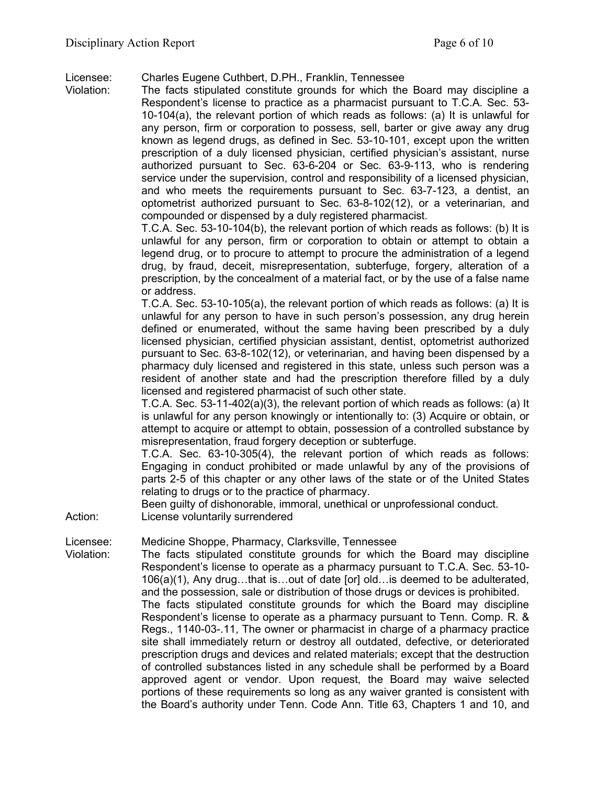Licensee: Charles Eugene Cuthbert, D.PH., Franklin, Tennessee

Violation: The facts stipulated constitute grounds for which the Board may discipline a Respondent's license to practice as a pharmacist pursuant to T.C.A. Sec. 53- 10-104(a), the relevant portion of which reads as follows: (a) It is unlawful for any person, firm or corporation to possess, sell, barter or give away any drug known as legend drugs, as defined in Sec. 53-10-101, except upon the written prescription of a duly licensed physician, certified physician's assistant, nurse authorized pursuant to Sec. 63-6-204 or Sec. 63-9-113, who is rendering service under the supervision, control and responsibility of a licensed physician, and who meets the requirements pursuant to Sec. 63-7-123, a dentist, an optometrist authorized pursuant to Sec. 63-8-102(12), or a veterinarian, and compounded or dispensed by a duly registered pharmacist.

T.C.A. Sec. 53-10-104(b), the relevant portion of which reads as follows: (b) It is unlawful for any person, firm or corporation to obtain or attempt to obtain a legend drug, or to procure to attempt to procure the administration of a legend drug, by fraud, deceit, misrepresentation, subterfuge, forgery, alteration of a prescription, by the concealment of a material fact, or by the use of a false name or address.

T.C.A. Sec. 53-10-105(a), the relevant portion of which reads as follows: (a) It is unlawful for any person to have in such person's possession, any drug herein defined or enumerated, without the same having been prescribed by a duly licensed physician, certified physician assistant, dentist, optometrist authorized pursuant to Sec. 63-8-102(12), or veterinarian, and having been dispensed by a pharmacy duly licensed and registered in this state, unless such person was a resident of another state and had the prescription therefore filled by a duly licensed and registered pharmacist of such other state.

T.C.A. Sec. 53-11-402(a)(3), the relevant portion of which reads as follows: (a) It is unlawful for any person knowingly or intentionally to: (3) Acquire or obtain, or attempt to acquire or attempt to obtain, possession of a controlled substance by misrepresentation, fraud forgery deception or subterfuge.

T.C.A. Sec. 63-10-305(4), the relevant portion of which reads as follows: Engaging in conduct prohibited or made unlawful by any of the provisions of parts 2-5 of this chapter or any other laws of the state or of the United States relating to drugs or to the practice of pharmacy.

Been guilty of dishonorable, immoral, unethical or unprofessional conduct.

Action: License voluntarily surrendered

Licensee: Medicine Shoppe, Pharmacy, Clarksville, Tennessee

Violation: The facts stipulated constitute grounds for which the Board may discipline Respondent's license to operate as a pharmacy pursuant to T.C.A. Sec. 53-10- 106(a)(1), Any drug…that is…out of date [or] old…is deemed to be adulterated, and the possession, sale or distribution of those drugs or devices is prohibited. The facts stipulated constitute grounds for which the Board may discipline Respondent's license to operate as a pharmacy pursuant to Tenn. Comp. R. & Regs., 1140-03-.11, The owner or pharmacist in charge of a pharmacy practice site shall immediately return or destroy all outdated, defective, or deteriorated prescription drugs and devices and related materials; except that the destruction of controlled substances listed in any schedule shall be performed by a Board approved agent or vendor. Upon request, the Board may waive selected portions of these requirements so long as any waiver granted is consistent with the Board's authority under Tenn. Code Ann. Title 63, Chapters 1 and 10, and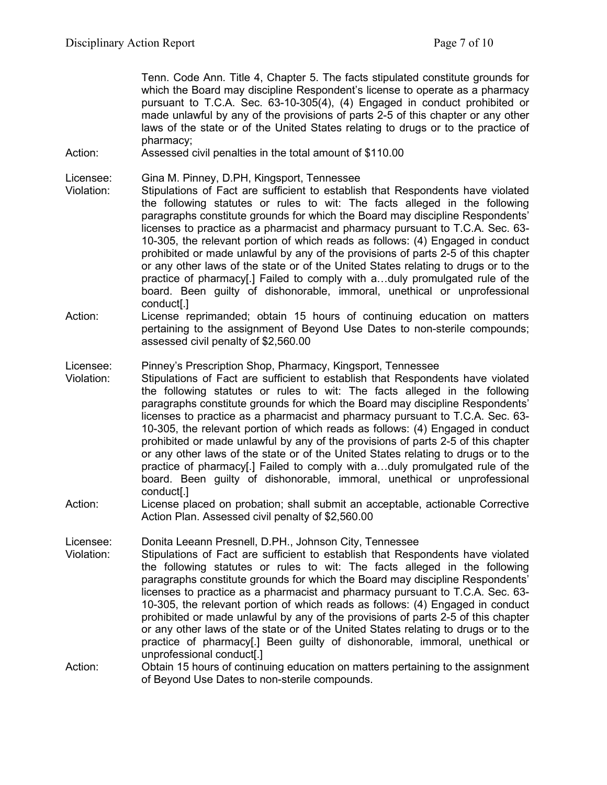Tenn. Code Ann. Title 4, Chapter 5. The facts stipulated constitute grounds for which the Board may discipline Respondent's license to operate as a pharmacy pursuant to T.C.A. Sec. 63-10-305(4), (4) Engaged in conduct prohibited or made unlawful by any of the provisions of parts 2-5 of this chapter or any other laws of the state or of the United States relating to drugs or to the practice of pharmacy;

Action: Assessed civil penalties in the total amount of \$110.00

Licensee: Gina M. Pinney, D.PH, Kingsport, Tennessee

- Violation: Stipulations of Fact are sufficient to establish that Respondents have violated the following statutes or rules to wit: The facts alleged in the following paragraphs constitute grounds for which the Board may discipline Respondents' licenses to practice as a pharmacist and pharmacy pursuant to T.C.A. Sec. 63- 10-305, the relevant portion of which reads as follows: (4) Engaged in conduct prohibited or made unlawful by any of the provisions of parts 2-5 of this chapter or any other laws of the state or of the United States relating to drugs or to the practice of pharmacy[.] Failed to comply with a…duly promulgated rule of the board. Been guilty of dishonorable, immoral, unethical or unprofessional conduct[.]
- Action: License reprimanded; obtain 15 hours of continuing education on matters pertaining to the assignment of Beyond Use Dates to non-sterile compounds; assessed civil penalty of \$2,560.00

#### Licensee: Pinney's Prescription Shop, Pharmacy, Kingsport, Tennessee

- Violation: Stipulations of Fact are sufficient to establish that Respondents have violated the following statutes or rules to wit: The facts alleged in the following paragraphs constitute grounds for which the Board may discipline Respondents' licenses to practice as a pharmacist and pharmacy pursuant to T.C.A. Sec. 63- 10-305, the relevant portion of which reads as follows: (4) Engaged in conduct prohibited or made unlawful by any of the provisions of parts 2-5 of this chapter or any other laws of the state or of the United States relating to drugs or to the practice of pharmacy[.] Failed to comply with a…duly promulgated rule of the board. Been guilty of dishonorable, immoral, unethical or unprofessional conduct[.]
- Action: License placed on probation; shall submit an acceptable, actionable Corrective Action Plan. Assessed civil penalty of \$2,560.00

Licensee: Donita Leeann Presnell, D.PH., Johnson City, Tennessee

- Violation: Stipulations of Fact are sufficient to establish that Respondents have violated the following statutes or rules to wit: The facts alleged in the following paragraphs constitute grounds for which the Board may discipline Respondents' licenses to practice as a pharmacist and pharmacy pursuant to T.C.A. Sec. 63- 10-305, the relevant portion of which reads as follows: (4) Engaged in conduct prohibited or made unlawful by any of the provisions of parts 2-5 of this chapter or any other laws of the state or of the United States relating to drugs or to the practice of pharmacy[.] Been guilty of dishonorable, immoral, unethical or unprofessional conduct[.]
- Action: Obtain 15 hours of continuing education on matters pertaining to the assignment of Beyond Use Dates to non-sterile compounds.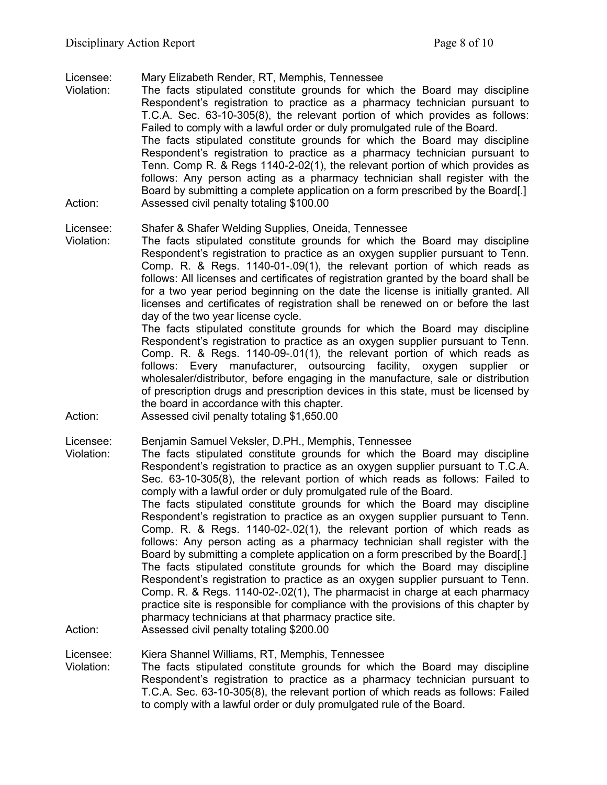Licensee: Mary Elizabeth Render, RT, Memphis, Tennessee

Violation: The facts stipulated constitute grounds for which the Board may discipline Respondent's registration to practice as a pharmacy technician pursuant to T.C.A. Sec. 63-10-305(8), the relevant portion of which provides as follows: Failed to comply with a lawful order or duly promulgated rule of the Board. The facts stipulated constitute grounds for which the Board may discipline Respondent's registration to practice as a pharmacy technician pursuant to Tenn. Comp R. & Regs 1140-2-02(1), the relevant portion of which provides as follows: Any person acting as a pharmacy technician shall register with the Board by submitting a complete application on a form prescribed by the Board[.] Action: Assessed civil penalty totaling \$100.00

## Licensee: Shafer & Shafer Welding Supplies, Oneida, Tennessee

Violation: The facts stipulated constitute grounds for which the Board may discipline Respondent's registration to practice as an oxygen supplier pursuant to Tenn. Comp. R. & Regs. 1140-01-.09(1), the relevant portion of which reads as follows: All licenses and certificates of registration granted by the board shall be for a two year period beginning on the date the license is initially granted. All licenses and certificates of registration shall be renewed on or before the last day of the two year license cycle.

The facts stipulated constitute grounds for which the Board may discipline Respondent's registration to practice as an oxygen supplier pursuant to Tenn. Comp. R. & Regs. 1140-09-.01(1), the relevant portion of which reads as follows: Every manufacturer, outsourcing facility, oxygen supplier or wholesaler/distributor, before engaging in the manufacture, sale or distribution of prescription drugs and prescription devices in this state, must be licensed by the board in accordance with this chapter.

Action: Assessed civil penalty totaling \$1,650.00

Licensee: Benjamin Samuel Veksler, D.PH., Memphis, Tennessee

Violation: The facts stipulated constitute grounds for which the Board may discipline Respondent's registration to practice as an oxygen supplier pursuant to T.C.A. Sec. 63-10-305(8), the relevant portion of which reads as follows: Failed to comply with a lawful order or duly promulgated rule of the Board. The facts stipulated constitute grounds for which the Board may discipline Respondent's registration to practice as an oxygen supplier pursuant to Tenn. Comp. R. & Regs. 1140-02-.02(1), the relevant portion of which reads as follows: Any person acting as a pharmacy technician shall register with the Board by submitting a complete application on a form prescribed by the Board[.] The facts stipulated constitute grounds for which the Board may discipline Respondent's registration to practice as an oxygen supplier pursuant to Tenn. Comp. R. & Regs. 1140-02-.02(1), The pharmacist in charge at each pharmacy practice site is responsible for compliance with the provisions of this chapter by pharmacy technicians at that pharmacy practice site. Action: Assessed civil penalty totaling \$200.00

## Licensee: Kiera Shannel Williams, RT, Memphis, Tennessee

Violation: The facts stipulated constitute grounds for which the Board may discipline Respondent's registration to practice as a pharmacy technician pursuant to T.C.A. Sec. 63-10-305(8), the relevant portion of which reads as follows: Failed to comply with a lawful order or duly promulgated rule of the Board.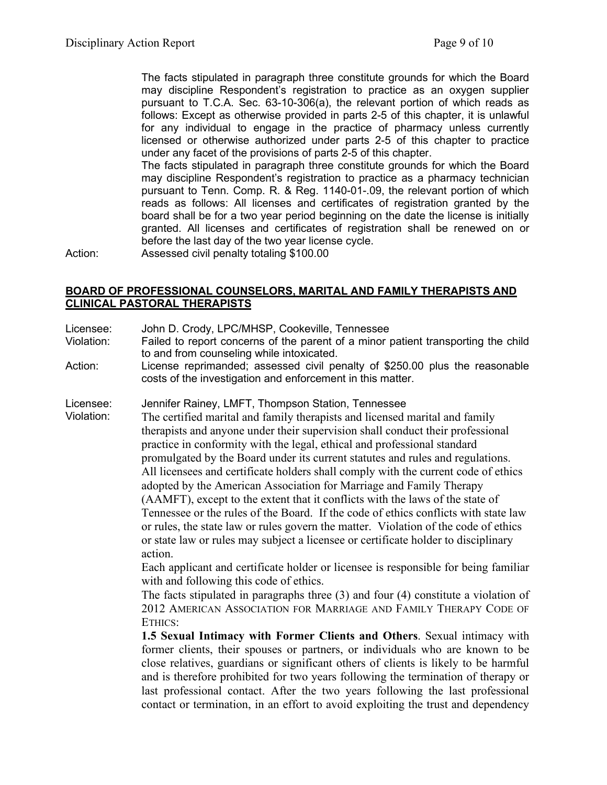The facts stipulated in paragraph three constitute grounds for which the Board may discipline Respondent's registration to practice as an oxygen supplier pursuant to T.C.A. Sec. 63-10-306(a), the relevant portion of which reads as follows: Except as otherwise provided in parts 2-5 of this chapter, it is unlawful for any individual to engage in the practice of pharmacy unless currently licensed or otherwise authorized under parts 2-5 of this chapter to practice under any facet of the provisions of parts 2-5 of this chapter.

The facts stipulated in paragraph three constitute grounds for which the Board may discipline Respondent's registration to practice as a pharmacy technician pursuant to Tenn. Comp. R. & Reg. 1140-01-.09, the relevant portion of which reads as follows: All licenses and certificates of registration granted by the board shall be for a two year period beginning on the date the license is initially granted. All licenses and certificates of registration shall be renewed on or before the last day of the two year license cycle.

Action: Assessed civil penalty totaling \$100.00

## **BOARD OF PROFESSIONAL COUNSELORS, MARITAL AND FAMILY THERAPISTS AND CLINICAL PASTORAL THERAPISTS**

- Licensee: John D. Crody, LPC/MHSP, Cookeville, Tennessee
- Violation: Failed to report concerns of the parent of a minor patient transporting the child to and from counseling while intoxicated.
- Action: License reprimanded; assessed civil penalty of \$250.00 plus the reasonable costs of the investigation and enforcement in this matter.

Licensee: Jennifer Rainey, LMFT, Thompson Station, Tennessee

Violation: The certified marital and family therapists and licensed marital and family therapists and anyone under their supervision shall conduct their professional practice in conformity with the legal, ethical and professional standard promulgated by the Board under its current statutes and rules and regulations. All licensees and certificate holders shall comply with the current code of ethics adopted by the American Association for Marriage and Family Therapy (AAMFT), except to the extent that it conflicts with the laws of the state of Tennessee or the rules of the Board. If the code of ethics conflicts with state law or rules, the state law or rules govern the matter. Violation of the code of ethics or state law or rules may subject a licensee or certificate holder to disciplinary action.

> Each applicant and certificate holder or licensee is responsible for being familiar with and following this code of ethics.

> The facts stipulated in paragraphs three (3) and four (4) constitute a violation of 2012 AMERICAN ASSOCIATION FOR MARRIAGE AND FAMILY THERAPY CODE OF ETHICS:

> **1.5 Sexual Intimacy with Former Clients and Others**. Sexual intimacy with former clients, their spouses or partners, or individuals who are known to be close relatives, guardians or significant others of clients is likely to be harmful and is therefore prohibited for two years following the termination of therapy or last professional contact. After the two years following the last professional contact or termination, in an effort to avoid exploiting the trust and dependency